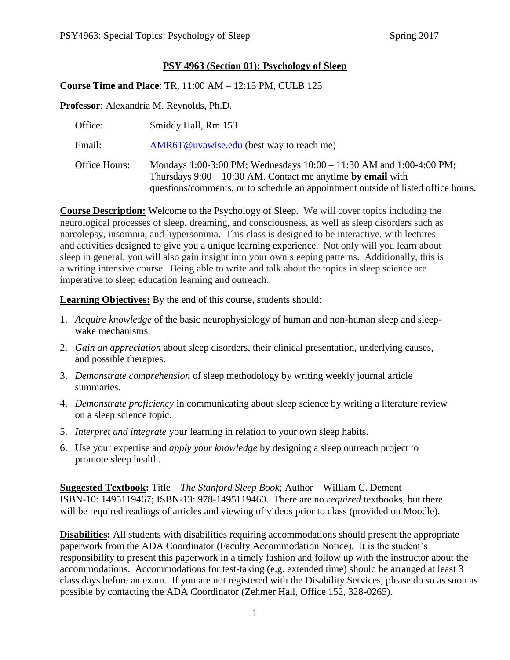## **PSY 4963 (Section 01): Psychology of Sleep**

**Course Time and Place**: TR, 11:00 AM – 12:15 PM, CULB 125

**Professor**: Alexandria M. Reynolds, Ph.D.

| Office:       | Smiddy Hall, Rm 153                                                                                                                                                                                                       |
|---------------|---------------------------------------------------------------------------------------------------------------------------------------------------------------------------------------------------------------------------|
| Email:        | AMR6T@uvawise.edu (best way to reach me)                                                                                                                                                                                  |
| Office Hours: | Mondays 1:00-3:00 PM; Wednesdays 10:00 - 11:30 AM and 1:00-4:00 PM;<br>Thursdays $9:00 - 10:30$ AM. Contact me anytime by email with<br>questions/comments, or to schedule an appointment outside of listed office hours. |

**Course Description:** Welcome to the Psychology of Sleep. We will cover topics including the neurological processes of sleep, dreaming, and consciousness, as well as sleep disorders such as narcolepsy, insomnia, and hypersomnia. This class is designed to be interactive, with lectures and activities designed to give you a unique learning experience. Not only will you learn about sleep in general, you will also gain insight into your own sleeping patterns. Additionally, this is a writing intensive course. Being able to write and talk about the topics in sleep science are imperative to sleep education learning and outreach.

**Learning Objectives:** By the end of this course, students should:

- 1. *Acquire knowledge* of the basic neurophysiology of human and non-human sleep and sleepwake mechanisms.
- 2. *Gain an appreciation* about sleep disorders, their clinical presentation, underlying causes, and possible therapies.
- 3. *Demonstrate comprehension* of sleep methodology by writing weekly journal article summaries.
- 4. *Demonstrate proficiency* in communicating about sleep science by writing a literature review on a sleep science topic.
- 5. *Interpret and integrate* your learning in relation to your own sleep habits.
- 6. Use your expertise and *apply your knowledge* by designing a sleep outreach project to promote sleep health.

**Suggested Textbook:** Title – *The Stanford Sleep Book*; Author – William C. Dement ISBN-10: 1495119467; ISBN-13: 978-1495119460. There are no *required* textbooks, but there will be required readings of articles and viewing of videos prior to class (provided on Moodle).

**Disabilities:** All students with disabilities requiring accommodations should present the appropriate paperwork from the ADA Coordinator (Faculty Accommodation Notice). It is the student's responsibility to present this paperwork in a timely fashion and follow up with the instructor about the accommodations. Accommodations for test-taking (e.g. extended time) should be arranged at least 3 class days before an exam. If you are not registered with the Disability Services, please do so as soon as possible by contacting the ADA Coordinator (Zehmer Hall, Office 152, 328-0265).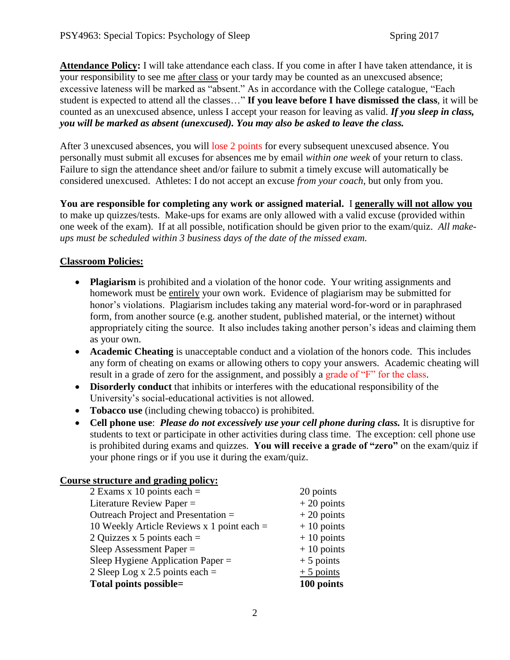**Attendance Policy:** I will take attendance each class. If you come in after I have taken attendance, it is your responsibility to see me after class or your tardy may be counted as an unexcused absence; excessive lateness will be marked as "absent." As in accordance with the College catalogue, "Each student is expected to attend all the classes…" **If you leave before I have dismissed the class**, it will be counted as an unexcused absence, unless I accept your reason for leaving as valid. *If you sleep in class, you will be marked as absent (unexcused). You may also be asked to leave the class.*

After 3 unexcused absences, you will lose 2 points for every subsequent unexcused absence. You personally must submit all excuses for absences me by email *within one week* of your return to class. Failure to sign the attendance sheet and/or failure to submit a timely excuse will automatically be considered unexcused. Athletes: I do not accept an excuse *from your coach*, but only from you.

**You are responsible for completing any work or assigned material.** I **generally will not allow you** to make up quizzes/tests. Make-ups for exams are only allowed with a valid excuse (provided within one week of the exam). If at all possible, notification should be given prior to the exam/quiz. *All makeups must be scheduled within 3 business days of the date of the missed exam.*

## **Classroom Policies:**

- **Plagiarism** is prohibited and a violation of the honor code. Your writing assignments and homework must be entirely your own work. Evidence of plagiarism may be submitted for honor's violations. Plagiarism includes taking any material word-for-word or in paraphrased form, from another source (e.g. another student, published material, or the internet) without appropriately citing the source. It also includes taking another person's ideas and claiming them as your own.
- **Academic Cheating** is unacceptable conduct and a violation of the honors code. This includes any form of cheating on exams or allowing others to copy your answers. Academic cheating will result in a grade of zero for the assignment, and possibly a grade of "F" for the class.
- **Disorderly conduct** that inhibits or interferes with the educational responsibility of the University's social-educational activities is not allowed.
- **Tobacco use** (including chewing tobacco) is prohibited.
- **Cell phone use**: *Please do not excessively use your cell phone during class.* It is disruptive for students to text or participate in other activities during class time. The exception: cell phone use is prohibited during exams and quizzes. **You will receive a grade of "zero"** on the exam/quiz if your phone rings or if you use it during the exam/quiz.

## **Course structure and grading policy:**

| 2 Exams x 10 points each $=$                 | 20 points    |
|----------------------------------------------|--------------|
| Literature Review Paper $=$                  | $+20$ points |
| Outreach Project and Presentation =          | $+20$ points |
| 10 Weekly Article Reviews x 1 point each $=$ | $+10$ points |
| 2 Quizzes x 5 points each $=$                | $+10$ points |
| Sleep Assessment Paper $=$                   | $+10$ points |
| Sleep Hygiene Application Paper $=$          | $+5$ points  |
| 2 Sleep Log x 2.5 points each $=$            | $+5$ points  |
| Total points possible=                       | 100 points   |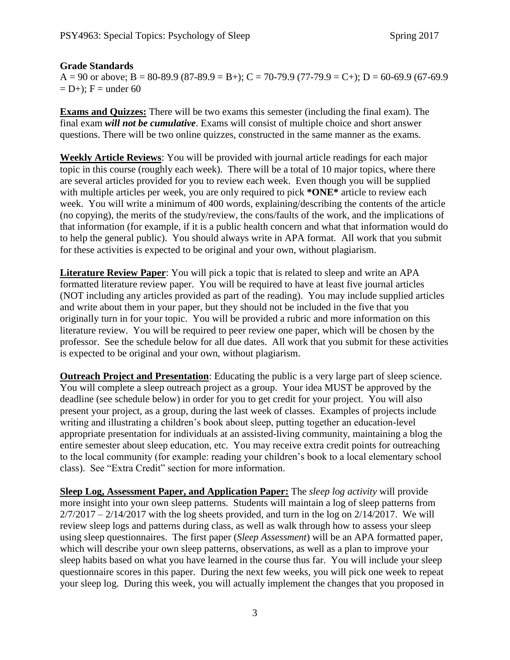## **Grade Standards**

 $A = 90$  or above;  $B = 80-89.9$  (87-89.9 = B+); C = 70-79.9 (77-79.9 = C+); D = 60-69.9 (67-69.9  $= D+$ ; F = under 60

**Exams and Quizzes:** There will be two exams this semester (including the final exam). The final exam *will not be cumulative*. Exams will consist of multiple choice and short answer questions. There will be two online quizzes, constructed in the same manner as the exams.

**Weekly Article Reviews**: You will be provided with journal article readings for each major topic in this course (roughly each week). There will be a total of 10 major topics, where there are several articles provided for you to review each week. Even though you will be supplied with multiple articles per week, you are only required to pick **\*ONE\*** article to review each week. You will write a minimum of 400 words, explaining/describing the contents of the article (no copying), the merits of the study/review, the cons/faults of the work, and the implications of that information (for example, if it is a public health concern and what that information would do to help the general public). You should always write in APA format. All work that you submit for these activities is expected to be original and your own, without plagiarism.

**Literature Review Paper**: You will pick a topic that is related to sleep and write an APA formatted literature review paper. You will be required to have at least five journal articles (NOT including any articles provided as part of the reading). You may include supplied articles and write about them in your paper, but they should not be included in the five that you originally turn in for your topic. You will be provided a rubric and more information on this literature review. You will be required to peer review one paper, which will be chosen by the professor. See the schedule below for all due dates. All work that you submit for these activities is expected to be original and your own, without plagiarism.

**Outreach Project and Presentation**: Educating the public is a very large part of sleep science. You will complete a sleep outreach project as a group. Your idea MUST be approved by the deadline (see schedule below) in order for you to get credit for your project. You will also present your project, as a group, during the last week of classes. Examples of projects include writing and illustrating a children's book about sleep, putting together an education-level appropriate presentation for individuals at an assisted-living community, maintaining a blog the entire semester about sleep education, etc. You may receive extra credit points for outreaching to the local community (for example: reading your children's book to a local elementary school class). See "Extra Credit" section for more information.

**Sleep Log, Assessment Paper, and Application Paper:** The *sleep log activity* will provide more insight into your own sleep patterns. Students will maintain a log of sleep patterns from  $2/7/2017 - 2/14/2017$  with the log sheets provided, and turn in the log on  $2/14/2017$ . We will review sleep logs and patterns during class, as well as walk through how to assess your sleep using sleep questionnaires. The first paper (*Sleep Assessment*) will be an APA formatted paper, which will describe your own sleep patterns, observations, as well as a plan to improve your sleep habits based on what you have learned in the course thus far. You will include your sleep questionnaire scores in this paper. During the next few weeks, you will pick one week to repeat your sleep log. During this week, you will actually implement the changes that you proposed in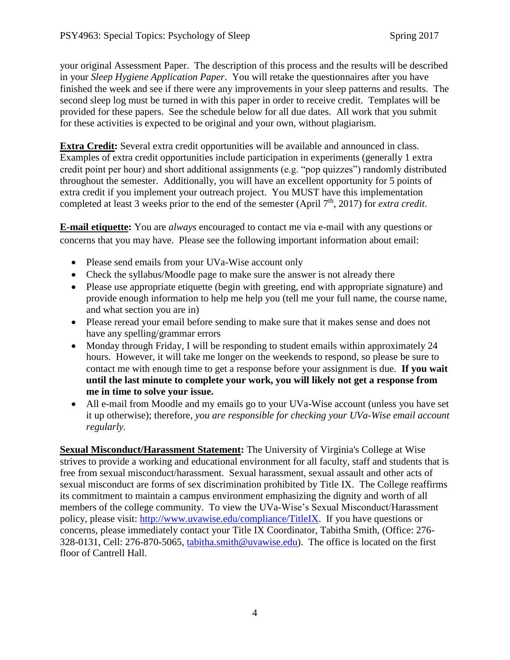your original Assessment Paper. The description of this process and the results will be described in your *Sleep Hygiene Application Paper*. You will retake the questionnaires after you have finished the week and see if there were any improvements in your sleep patterns and results. The second sleep log must be turned in with this paper in order to receive credit. Templates will be provided for these papers. See the schedule below for all due dates. All work that you submit for these activities is expected to be original and your own, without plagiarism.

**Extra Credit:** Several extra credit opportunities will be available and announced in class. Examples of extra credit opportunities include participation in experiments (generally 1 extra credit point per hour) and short additional assignments (e.g. "pop quizzes") randomly distributed throughout the semester. Additionally, you will have an excellent opportunity for 5 points of extra credit if you implement your outreach project. You MUST have this implementation completed at least 3 weeks prior to the end of the semester (April 7<sup>th</sup>, 2017) for *extra credit*.

**E-mail etiquette:** You are *always* encouraged to contact me via e-mail with any questions or concerns that you may have. Please see the following important information about email:

- Please send emails from your UVa-Wise account only
- Check the syllabus/Moodle page to make sure the answer is not already there
- Please use appropriate etiquette (begin with greeting, end with appropriate signature) and provide enough information to help me help you (tell me your full name, the course name, and what section you are in)
- Please reread your email before sending to make sure that it makes sense and does not have any spelling/grammar errors
- Monday through Friday, I will be responding to student emails within approximately 24 hours. However, it will take me longer on the weekends to respond, so please be sure to contact me with enough time to get a response before your assignment is due. **If you wait until the last minute to complete your work, you will likely not get a response from me in time to solve your issue.**
- All e-mail from Moodle and my emails go to your UVa-Wise account (unless you have set it up otherwise); therefore*, you are responsible for checking your UVa-Wise email account regularly.*

**Sexual Misconduct/Harassment Statement:** The University of Virginia's College at Wise strives to provide a working and educational environment for all faculty, staff and students that is free from sexual misconduct/harassment. Sexual harassment, sexual assault and other acts of sexual misconduct are forms of sex discrimination prohibited by Title IX. The College reaffirms its commitment to maintain a campus environment emphasizing the dignity and worth of all members of the college community. To view the UVa-Wise's Sexual Misconduct/Harassment policy, please visit: [http://www.uvawise.edu/compliance/TitleIX.](http://www.uvawise.edu/compliance/TitleIX) If you have questions or concerns, please immediately contact your Title IX Coordinator, Tabitha Smith, (Office: 276- 328-0131, Cell: 276-870-5065, [tabitha.smith@uvawise.edu\)](mailto:tabitha.smith@uvawise.edu). The office is located on the first floor of Cantrell Hall.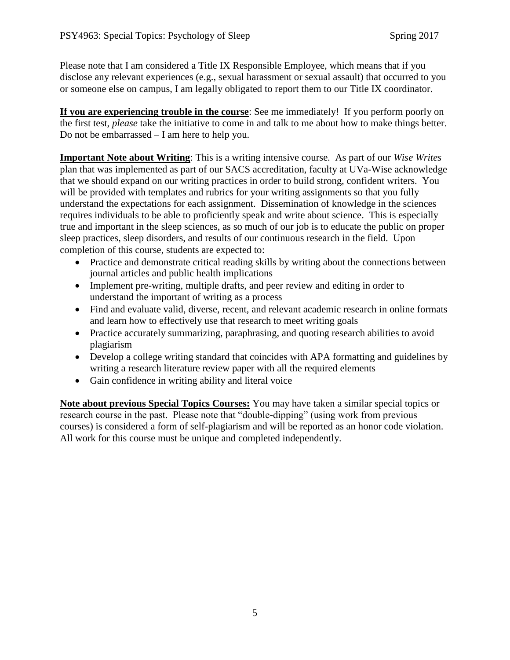Please note that I am considered a Title IX Responsible Employee, which means that if you disclose any relevant experiences (e.g., sexual harassment or sexual assault) that occurred to you or someone else on campus, I am legally obligated to report them to our Title IX coordinator.

**If you are experiencing trouble in the course**: See me immediately! If you perform poorly on the first test, *please* take the initiative to come in and talk to me about how to make things better. Do not be embarrassed – I am here to help you.

**Important Note about Writing**: This is a writing intensive course. As part of our *Wise Writes* plan that was implemented as part of our SACS accreditation, faculty at UVa-Wise acknowledge that we should expand on our writing practices in order to build strong, confident writers. You will be provided with templates and rubrics for your writing assignments so that you fully understand the expectations for each assignment. Dissemination of knowledge in the sciences requires individuals to be able to proficiently speak and write about science. This is especially true and important in the sleep sciences, as so much of our job is to educate the public on proper sleep practices, sleep disorders, and results of our continuous research in the field. Upon completion of this course, students are expected to:

- Practice and demonstrate critical reading skills by writing about the connections between journal articles and public health implications
- Implement pre-writing, multiple drafts, and peer review and editing in order to understand the important of writing as a process
- Find and evaluate valid, diverse, recent, and relevant academic research in online formats and learn how to effectively use that research to meet writing goals
- Practice accurately summarizing, paraphrasing, and quoting research abilities to avoid plagiarism
- Develop a college writing standard that coincides with APA formatting and guidelines by writing a research literature review paper with all the required elements
- Gain confidence in writing ability and literal voice

**Note about previous Special Topics Courses:** You may have taken a similar special topics or research course in the past. Please note that "double-dipping" (using work from previous courses) is considered a form of self-plagiarism and will be reported as an honor code violation. All work for this course must be unique and completed independently.